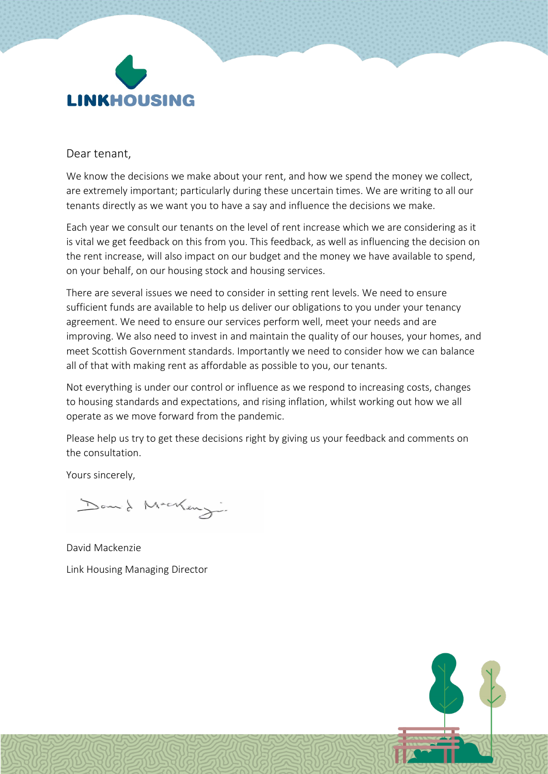

#### Dear tenant,

We know the decisions we make about your rent, and how we spend the money we collect, are extremely important; particularly during these uncertain times. We are writing to all our tenants directly as we want you to have a say and influence the decisions we make.

Each year we consult our tenants on the level of rent increase which we are considering as it is vital we get feedback on this from you. This feedback, as well as influencing the decision on the rent increase, will also impact on our budget and the money we have available to spend, on your behalf, on our housing stock and housing services.

There are several issues we need to consider in setting rent levels. We need to ensure sufficient funds are available to help us deliver our obligations to you under your tenancy agreement. We need to ensure our services perform well, meet your needs and are improving. We also need to invest in and maintain the quality of our houses, your homes, and meet Scottish Government standards. Importantly we need to consider how we can balance all of that with making rent as affordable as possible to you, our tenants.

Not everything is under our control or influence as we respond to increasing costs, changes to housing standards and expectations, and rising inflation, whilst working out how we all operate as we move forward from the pandemic.

Please help us try to get these decisions right by giving us your feedback and comments on the consultation.

Yours sincerely,

Don't Macking.

David Mackenzie Link Housing Managing Director

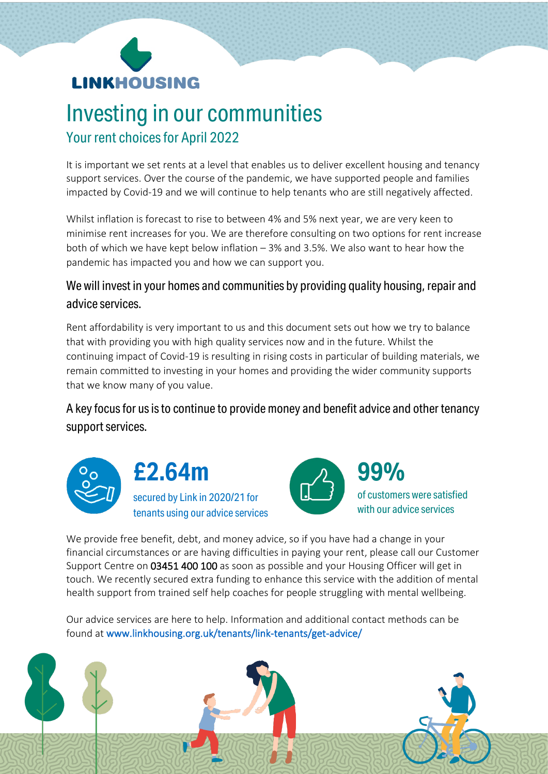

## Investing in our communities Your rent choices for April 2022

It is important we set rents at a level that enables us to deliver excellent housing and tenancy support services. Over the course of the pandemic, we have supported people and families impacted by Covid-19 and we will continue to help tenants who are still negatively affected.

Whilst inflation is forecast to rise to between 4% and 5% next year, we are very keen to minimise rent increases for you. We are therefore consulting on two options for rent increase both of which we have kept below inflation – 3% and 3.5%. We also want to hear how the pandemic has impacted you and how we can support you.

#### We will invest in your homes and communities by providing quality housing, repair and advice services.

Rent affordability is very important to us and this document sets out how we try to balance that with providing you with high quality services now and in the future. Whilst the continuing impact of Covid-19 is resulting in rising costs in particular of building materials, we remain committed to investing in your homes and providing the wider community supports that we know many of you value.

A key focus for us is to continue to provide money and benefit advice and other tenancy support services.







We provide free benefit, debt, and money advice, so if you have had a change in your financial circumstances or are having difficulties in paying your rent, please call our Customer Support Centre on 03451 400 100 as soon as possible and your Housing Officer will get in touch. We recently secured extra funding to enhance this service with the addition of mental health support from trained self help coaches for people struggling with mental wellbeing.

Our advice services are here to help. Information and additional contact methods can be found at [www.linkhousing.org.uk/tenants/link-tenants/get-advice/](http://www.linkhousing.org.uk/tenants/link-tenants/get-advice/)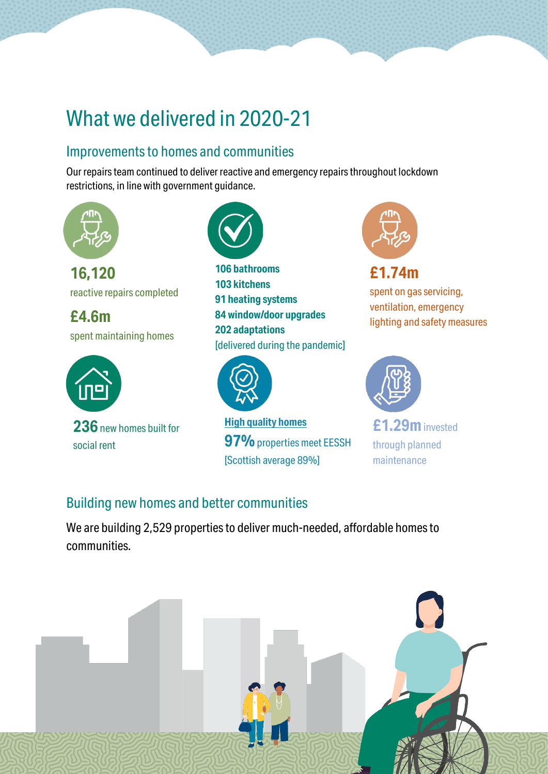# What we delivered in 2020-21

### Improvements to homes and communities

Our repairs team continued to deliver reactive and emergency repairs throughout lockdown restrictions, in line with government guidance.



**16,120** reactive repairs completed

**£4.6m** spent maintaining homes



**236**new homes built for social rent



**106 bathrooms 103 kitchens 91 heating systems 84 window/door upgrades 202 adaptations**  [delivered during the pandemic]



**High quality homes 97%**properties meet EESSH [Scottish average 89%]



spent on gas servicing, ventilation, emergency lighting and safety measures



**£1.29m**invested through planned maintenance

### Building new homes and better communities

We are building 2,529 properties to deliver much-needed, affordable homes to communities.

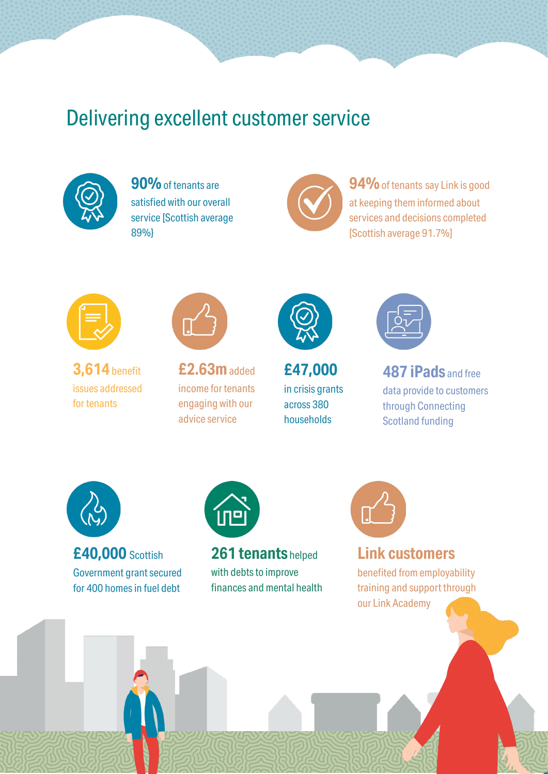## Delivering excellent customer service



**90%**of tenants are satisfied with our overall service [Scottish average 89%}



**94%** of tenants say Link is good at keeping them informed about services and decisions completed [Scottish average 91.7%]



**3,614**benefit issues addressed for tenants



**£2.63m**added income for tenants engaging with our advice service



**£47,000** in crisis grants across 380 households



**487 iPads** and free data provide to customers through Connecting Scotland funding



**£40,000** Scottish Government grant secured for 400 homes in fuel debt



**261 tenants** helped with debts to improve finances and mental health



### **Link customers**

benefited from employability training and support through our Link Academy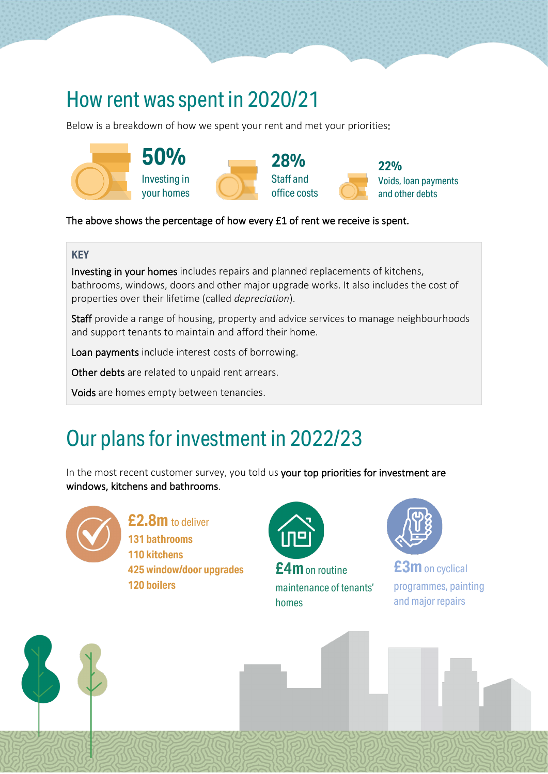## How rent was spent in 2020/21

Below is a breakdown of how we spent your rent and met your priorities:



#### The above shows the percentage of how every £1 of rent we receive is spent.

#### **KEY**

Investing in your homes includes repairs and planned replacements of kitchens, bathrooms, windows, doors and other major upgrade works. It also includes the cost of properties over their lifetime (called *depreciation*).

Staff provide a range of housing, property and advice services to manage neighbourhoods and support tenants to maintain and afford their home.

Loan payments include interest costs of borrowing.

Other debts are related to unpaid rent arrears.

Voids are homes empty between tenancies.

# Our plans for investment in 2022/23

In the most recent customer survey, you told us your top priorities for investment are windows, kitchens and bathrooms.



#### **£2.8m** to deliver **131 bathrooms**

**110 kitchens 425 window/door upgrades 120 boilers**



**£4m**on routine maintenance of tenants' homes



**£3m**on cyclical programmes, painting and major repairs